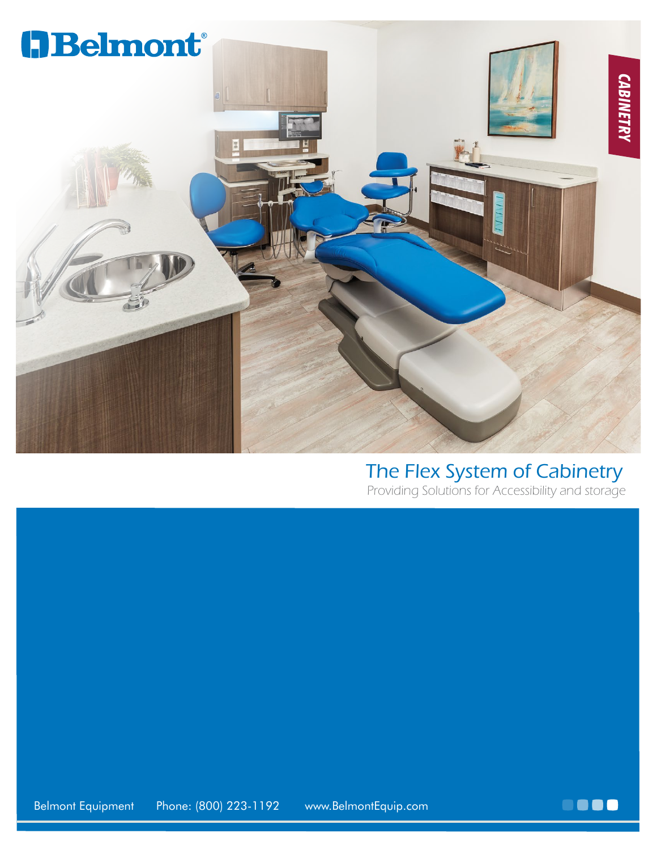

#### The Flex System of Cabinetry

Providing Solutions for Accessibility and storage

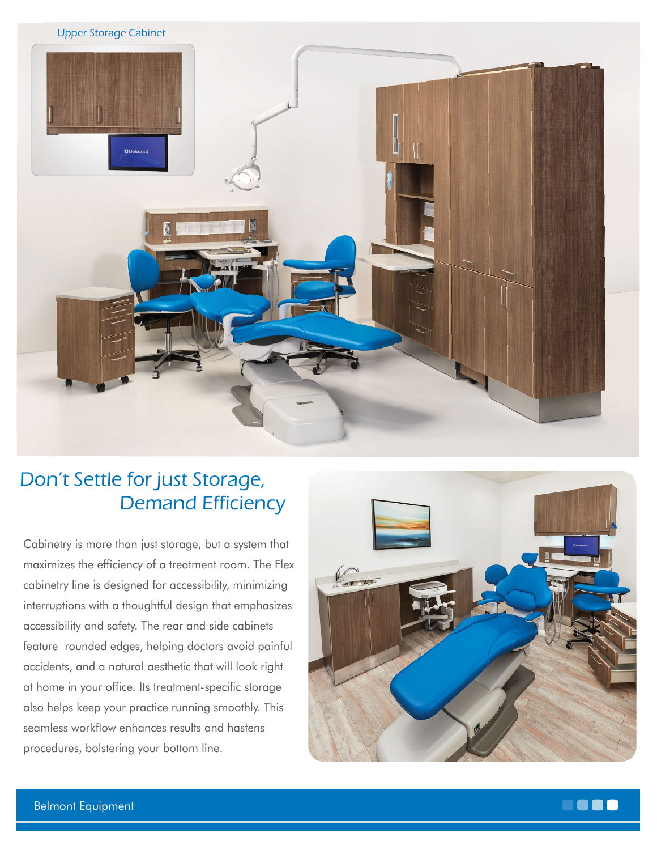

### Don't Settle for just Storage, Demand Efficiency

Cabinetry is more than just storage, but a system that maximizes the efficiency of a treatment room. The Flex cabinetry line is designed for accessibility, minimizing interruptions with a thoughtful design that emphasizes accessibility and safety. The rear and side cabinets feature rounded edges, helping doctors avoid painful accidents, and a natural aesthetic that will look right at home in your office. Its treatment-specific storage also helps keep your practice running smoothly. This seamless workflow enhances results and hastens procedures, bolstering your bottom line.



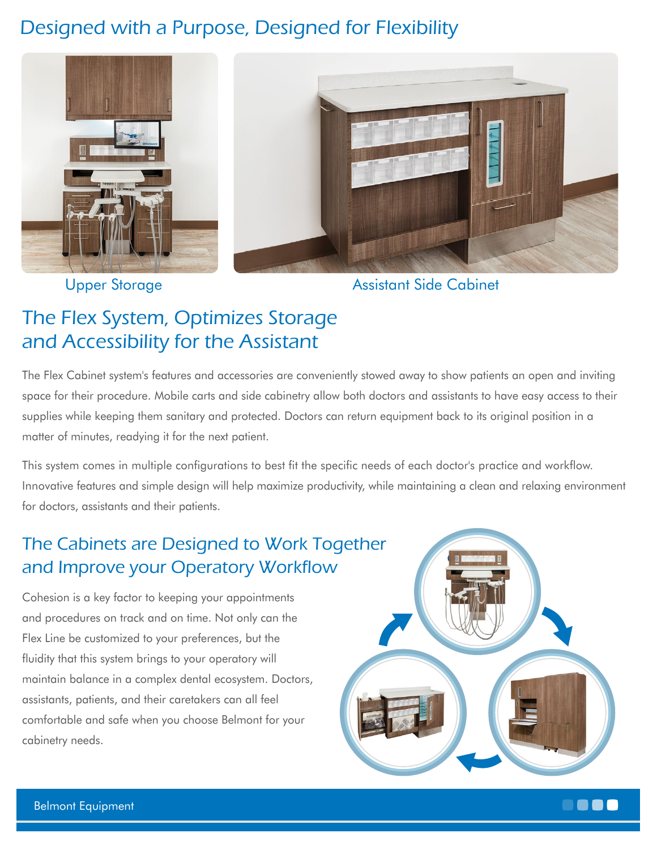# Designed with a Purpose, Designed for Flexibility



Upper Storage Assistant Side Cabinet

# The Flex System, Optimizes Storage and Accessibility for the Assistant

The Flex Cabinet system's features and accessories are conveniently stowed away to show patients an open and inviting space for their procedure. Mobile carts and side cabinetry allow both doctors and assistants to have easy access to their supplies while keeping them sanitary and protected. Doctors can return equipment back to its original position in a matter of minutes, readying it for the next patient.

This system comes in multiple configurations to best fit the specific needs of each doctor's practice and workflow. Innovative features and simple design will help maximize productivity, while maintaining a clean and relaxing environment for doctors, assistants and their patients.

## The Cabinets are Designed to Work Together and Improve your Operatory Workflow

Cohesion is a key factor to keeping your appointments and procedures on track and on time. Not only can the Flex Line be customized to your preferences, but the fluidity that this system brings to your operatory will maintain balance in a complex dental ecosystem. Doctors, assistants, patients, and their caretakers can all feel comfortable and safe when you choose Belmont for your cabinetry needs.